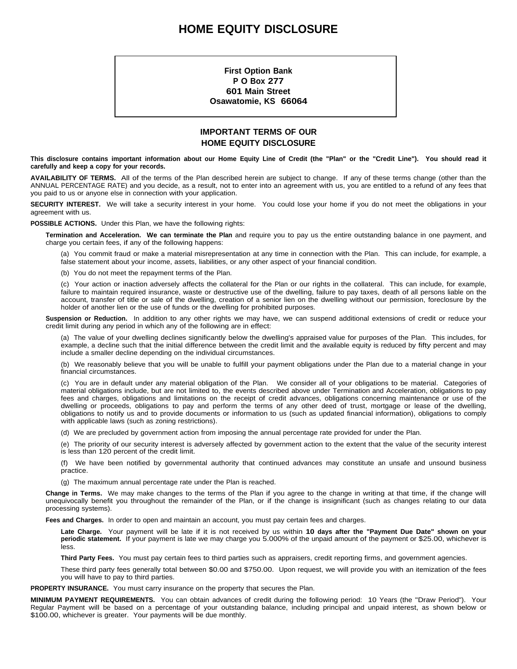### **HOME EQUITY DISCLOSURE**

**First Option Bank P O Box 277 601 Main Street Osawatomie, KS 66064**

### **IMPORTANT TERMS OF OUR HOME EQUITY DISCLOSURE**

This disclosure contains important information about our Home Equity Line of Credit (the "Plan" or the "Credit Line"). You should read it **carefully and keep a copy for your records.**

**AVAILABILITY OF TERMS.** All of the terms of the Plan described herein are subject to change. If any of these terms change (other than the ANNUAL PERCENTAGE RATE) and you decide, as a result, not to enter into an agreement with us, you are entitled to a refund of any fees that you paid to us or anyone else in connection with your application.

**SECURITY INTEREST.** We will take a security interest in your home. You could lose your home if you do not meet the obligations in your agreement with us.

**POSSIBLE ACTIONS.** Under this Plan, we have the following rights:

**Termination and Acceleration. We can terminate the Plan** and require you to pay us the entire outstanding balance in one payment, and charge you certain fees, if any of the following happens:

(a) You commit fraud or make a material misrepresentation at any time in connection with the Plan. This can include, for example, a false statement about your income, assets, liabilities, or any other aspect of your financial condition.

(b) You do not meet the repayment terms of the Plan.

(c) Your action or inaction adversely affects the collateral for the Plan or our rights in the collateral. This can include, for example, failure to maintain required insurance, waste or destructive use of the dwelling, failure to pay taxes, death of all persons liable on the account, transfer of title or sale of the dwelling, creation of a senior lien on the dwelling without our permission, foreclosure by the holder of another lien or the use of funds or the dwelling for prohibited purposes.

**Suspension or Reduction.** In addition to any other rights we may have, we can suspend additional extensions of credit or reduce your credit limit during any period in which any of the following are in effect:

(a) The value of your dwelling declines significantly below the dwelling's appraised value for purposes of the Plan. This includes, for example, a decline such that the initial difference between the credit limit and the available equity is reduced by fifty percent and may include a smaller decline depending on the individual circumstances.

(b) We reasonably believe that you will be unable to fulfill your payment obligations under the Plan due to a material change in your financial circumstances.

(c) You are in default under any material obligation of the Plan. We consider all of your obligations to be material. Categories of material obligations include, but are not limited to, the events described above under Termination and Acceleration, obligations to pay fees and charges, obligations and limitations on the receipt of credit advances, obligations concerning maintenance or use of the dwelling or proceeds, obligations to pay and perform the terms of any other deed of trust, mortgage or lease of the dwelling, obligations to notify us and to provide documents or information to us (such as updated financial information), obligations to comply with applicable laws (such as zoning restrictions).

(d) We are precluded by government action from imposing the annual percentage rate provided for under the Plan.

(e) The priority of our security interest is adversely affected by government action to the extent that the value of the security interest is less than 120 percent of the credit limit.

(f) We have been notified by governmental authority that continued advances may constitute an unsafe and unsound business practice.

(g) The maximum annual percentage rate under the Plan is reached.

**Change in Terms.** We may make changes to the terms of the Plan if you agree to the change in writing at that time, if the change will unequivocally benefit you throughout the remainder of the Plan, or if the change is insignificant (such as changes relating to our data processing systems).

**Fees and Charges.** In order to open and maintain an account, you must pay certain fees and charges.

**Late Charge.** Your payment will be late if it is not received by us within **10 days after the "Payment Due Date" shown on your periodic statement.** If your payment is late we may charge you 5.000% of the unpaid amount of the payment or \$25.00, whichever is less.

**Third Party Fees.** You must pay certain fees to third parties such as appraisers, credit reporting firms, and government agencies.

These third party fees generally total between \$0.00 and \$750.00. Upon request, we will provide you with an itemization of the fees you will have to pay to third parties.

**PROPERTY INSURANCE.** You must carry insurance on the property that secures the Plan.

**MINIMUM PAYMENT REQUIREMENTS.** You can obtain advances of credit during the following period: 10 Years (the "Draw Period"). Your Regular Payment will be based on a percentage of your outstanding balance, including principal and unpaid interest, as shown below or \$100.00, whichever is greater. Your payments will be due monthly.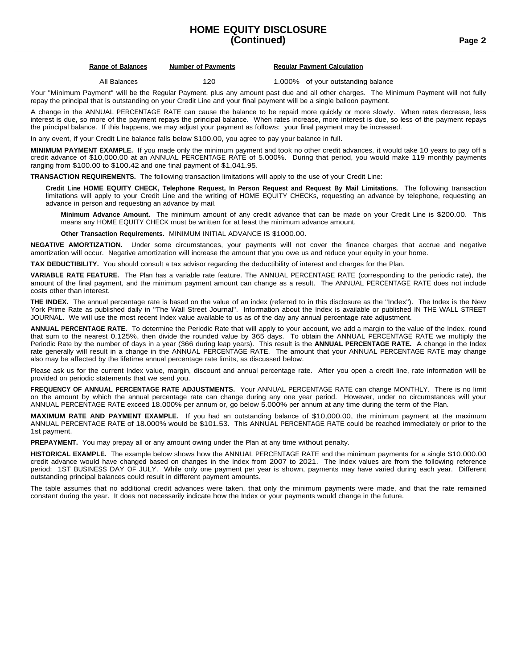## **HOME EQUITY DISCLOSURE**

**(Continued) Page 2**

|  | <b>Range of Balance</b> |
|--|-------------------------|
|  |                         |

**<u>Regular Payments</u> Regular Payment Calculation** 

All Balances 120 1.000% of your outstanding balance

Your "Minimum Payment" will be the Regular Payment, plus any amount past due and all other charges. The Minimum Payment will not fully repay the principal that is outstanding on your Credit Line and your final payment will be a single balloon payment.

A change in the ANNUAL PERCENTAGE RATE can cause the balance to be repaid more quickly or more slowly. When rates decrease, less interest is due, so more of the payment repays the principal balance. When rates increase, more interest is due, so less of the payment repays the principal balance. If this happens, we may adjust your payment as follows: your final payment may be increased.

In any event, if your Credit Line balance falls below \$100.00, you agree to pay your balance in full.

**MINIMUM PAYMENT EXAMPLE.** If you made only the minimum payment and took no other credit advances, it would take 10 years to pay off a credit advance of \$10,000.00 at an ANNUAL PERCENTAGE RATE of 5.000%. During that period, you would make 119 monthly payments ranging from \$100.00 to \$100.42 and one final payment of \$1,041.95.

**TRANSACTION REQUIREMENTS.** The following transaction limitations will apply to the use of your Credit Line:

Credit Line HOME EQUITY CHECK, Telephone Request, In Person Request and Request By Mail Limitations. The following transaction limitations will apply to your Credit Line and the writing of HOME EQUITY CHECKs, requesting an advance by telephone, requesting an advance in person and requesting an advance by mail.

**Minimum Advance Amount.** The minimum amount of any credit advance that can be made on your Credit Line is \$200.00. This means any HOME EQUITY CHECK must be written for at least the minimum advance amount.

**Other Transaction Requirements.** MINIMUM INITIAL ADVANCE IS \$1000.00.

**NEGATIVE AMORTIZATION.** Under some circumstances, your payments will not cover the finance charges that accrue and negative amortization will occur. Negative amortization will increase the amount that you owe us and reduce your equity in your home.

**TAX DEDUCTIBILITY.** You should consult a tax advisor regarding the deductibility of interest and charges for the Plan.

**VARIABLE RATE FEATURE.** The Plan has a variable rate feature. The ANNUAL PERCENTAGE RATE (corresponding to the periodic rate), the amount of the final payment, and the minimum payment amount can change as a result. The ANNUAL PERCENTAGE RATE does not include costs other than interest.

**THE INDEX.** The annual percentage rate is based on the value of an index (referred to in this disclosure as the "Index"). The Index is the New York Prime Rate as published daily in "The Wall Street Journal". Information about the Index is available or published IN THE WALL STREET JOURNAL. We will use the most recent Index value available to us as of the day any annual percentage rate adjustment.

**ANNUAL PERCENTAGE RATE.** To determine the Periodic Rate that will apply to your account, we add a margin to the value of the Index, round that sum to the nearest 0.125%, then divide the rounded value by 365 days. To obtain the ANNUAL PERCENTAGE RATE we multiply the Periodic Rate by the number of days in a year (366 during leap years). This result is the **ANNUAL PERCENTAGE RATE.** A change in the Index rate generally will result in a change in the ANNUAL PERCENTAGE RATE. The amount that your ANNUAL PERCENTAGE RATE may change also may be affected by the lifetime annual percentage rate limits, as discussed below.

Please ask us for the current Index value, margin, discount and annual percentage rate. After you open a credit line, rate information will be provided on periodic statements that we send you.

**FREQUENCY OF ANNUAL PERCENTAGE RATE ADJUSTMENTS.** Your ANNUAL PERCENTAGE RATE can change MONTHLY. There is no limit on the amount by which the annual percentage rate can change during any one year period. However, under no circumstances will your ANNUAL PERCENTAGE RATE exceed 18.000% per annum or, go below 5.000% per annum at any time during the term of the Plan.

**MAXIMUM RATE AND PAYMENT EXAMPLE.** If you had an outstanding balance of \$10,000.00, the minimum payment at the maximum ANNUAL PERCENTAGE RATE of 18.000% would be \$101.53. This ANNUAL PERCENTAGE RATE could be reached immediately or prior to the 1st payment.

**PREPAYMENT.** You may prepay all or any amount owing under the Plan at any time without penalty.

**HISTORICAL EXAMPLE.** The example below shows how the ANNUAL PERCENTAGE RATE and the minimum payments for a single \$10,000.00 credit advance would have changed based on changes in the Index from 2007 to 2021. The Index values are from the following reference period: 1ST BUSINESS DAY OF JULY. While only one payment per year is shown, payments may have varied during each year. Different outstanding principal balances could result in different payment amounts.

The table assumes that no additional credit advances were taken, that only the minimum payments were made, and that the rate remained constant during the year. It does not necessarily indicate how the Index or your payments would change in the future.